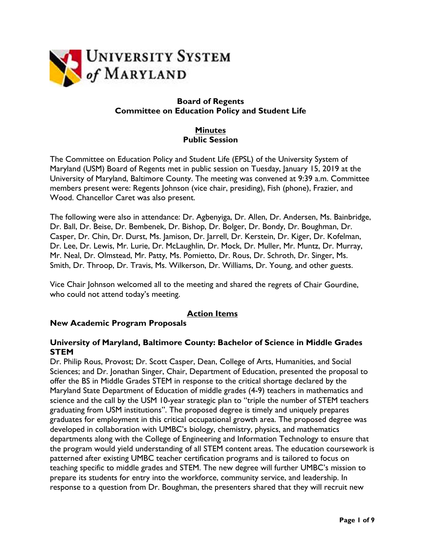

## **Board of Regents Committee on Education Policy and Student Life**

## **Minutes Public Session**

The Committee on Education Policy and Student Life (EPSL) of the University System of Maryland (USM) Board of Regents met in public session on Tuesday, January 15, 2019 at the University of Maryland, Baltimore County. The meeting was convened at 9:39 a.m. Committee members present were: Regents Johnson (vice chair, presiding), Fish (phone), Frazier, and Wood. Chancellor Caret was also present.

The following were also in attendance: Dr. Agbenyiga, Dr. Allen, Dr. Andersen, Ms. Bainbridge, Dr. Ball, Dr. Beise, Dr. Bembenek, Dr. Bishop, Dr. Bolger, Dr. Bondy, Dr. Boughman, Dr. Casper, Dr. Chin, Dr. Durst, Ms. Jamison, Dr. Jarrell, Dr. Kerstein, Dr. Kiger, Dr. Kofelman, Dr. Lee, Dr. Lewis, Mr. Lurie, Dr. McLaughlin, Dr. Mock, Dr. Muller, Mr. Muntz, Dr. Murray, Mr. Neal, Dr. Olmstead, Mr. Patty, Ms. Pomietto, Dr. Rous, Dr. Schroth, Dr. Singer, Ms. Smith, Dr. Throop, Dr. Travis, Ms. Wilkerson, Dr. Williams, Dr. Young, and other guests.

Vice Chair Johnson welcomed all to the meeting and shared the regrets of Chair Gourdine, who could not attend today's meeting.

# **Action Items**

## **New Academic Program Proposals**

#### **University of Maryland, Baltimore County: Bachelor of Science in Middle Grades STEM**

Dr. Philip Rous, Provost; Dr. Scott Casper, Dean, College of Arts, Humanities, and Social Sciences; and Dr. Jonathan Singer, Chair, Department of Education, presented the proposal to offer the BS in Middle Grades STEM in response to the critical shortage declared by the Maryland State Department of Education of middle grades (4-9) teachers in mathematics and science and the call by the USM 10-year strategic plan to "triple the number of STEM teachers graduating from USM institutions". The proposed degree is timely and uniquely prepares graduates for employment in this critical occupational growth area. The proposed degree was developed in collaboration with UMBC's biology, chemistry, physics, and mathematics departments along with the College of Engineering and Information Technology to ensure that the program would yield understanding of all STEM content areas. The education coursework is patterned after existing UMBC teacher certification programs and is tailored to focus on teaching specific to middle grades and STEM. The new degree will further UMBC's mission to prepare its students for entry into the workforce, community service, and leadership. In response to a question from Dr. Boughman, the presenters shared that they will recruit new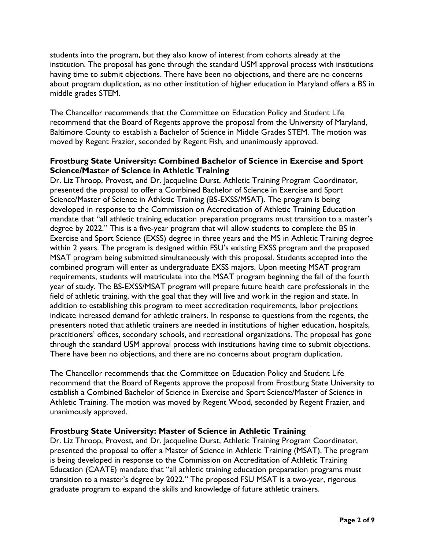students into the program, but they also know of interest from cohorts already at the institution. The proposal has gone through the standard USM approval process with institutions having time to submit objections. There have been no objections, and there are no concerns about program duplication, as no other institution of higher education in Maryland offers a BS in middle grades STEM.

The Chancellor recommends that the Committee on Education Policy and Student Life recommend that the Board of Regents approve the proposal from the University of Maryland, Baltimore County to establish a Bachelor of Science in Middle Grades STEM. The motion was moved by Regent Frazier, seconded by Regent Fish, and unanimously approved.

## **Frostburg State University: Combined Bachelor of Science in Exercise and Sport Science/Master of Science in Athletic Training**

Dr. Liz Throop, Provost, and Dr. Jacqueline Durst, Athletic Training Program Coordinator, presented the proposal to offer a Combined Bachelor of Science in Exercise and Sport Science/Master of Science in Athletic Training (BS-EXSS/MSAT). The program is being developed in response to the Commission on Accreditation of Athletic Training Education mandate that "all athletic training education preparation programs must transition to a master's degree by 2022." This is a five-year program that will allow students to complete the BS in Exercise and Sport Science (EXSS) degree in three years and the MS in Athletic Training degree within 2 years. The program is designed within FSU's existing EXSS program and the proposed MSAT program being submitted simultaneously with this proposal. Students accepted into the combined program will enter as undergraduate EXSS majors. Upon meeting MSAT program requirements, students will matriculate into the MSAT program beginning the fall of the fourth year of study. The BS-EXSS/MSAT program will prepare future health care professionals in the field of athletic training, with the goal that they will live and work in the region and state. In addition to establishing this program to meet accreditation requirements, labor projections indicate increased demand for athletic trainers. In response to questions from the regents, the presenters noted that athletic trainers are needed in institutions of higher education, hospitals, practitioners' offices, secondary schools, and recreational organizations. The proposal has gone through the standard USM approval process with institutions having time to submit objections. There have been no objections, and there are no concerns about program duplication.

The Chancellor recommends that the Committee on Education Policy and Student Life recommend that the Board of Regents approve the proposal from Frostburg State University to establish a Combined Bachelor of Science in Exercise and Sport Science/Master of Science in Athletic Training. The motion was moved by Regent Wood, seconded by Regent Frazier, and unanimously approved.

## **Frostburg State University: Master of Science in Athletic Training**

Dr. Liz Throop, Provost, and Dr. Jacqueline Durst, Athletic Training Program Coordinator, presented the proposal to offer a Master of Science in Athletic Training (MSAT). The program is being developed in response to the Commission on Accreditation of Athletic Training Education (CAATE) mandate that "all athletic training education preparation programs must transition to a master's degree by 2022." The proposed FSU MSAT is a two-year, rigorous graduate program to expand the skills and knowledge of future athletic trainers.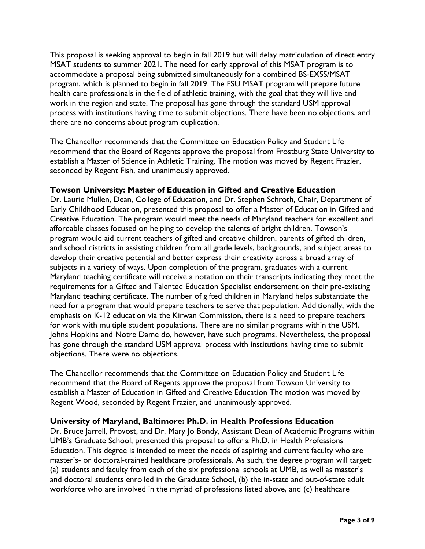This proposal is seeking approval to begin in fall 2019 but will delay matriculation of direct entry MSAT students to summer 2021. The need for early approval of this MSAT program is to accommodate a proposal being submitted simultaneously for a combined BS-EXSS/MSAT program, which is planned to begin in fall 2019. The FSU MSAT program will prepare future health care professionals in the field of athletic training, with the goal that they will live and work in the region and state. The proposal has gone through the standard USM approval process with institutions having time to submit objections. There have been no objections, and there are no concerns about program duplication.

The Chancellor recommends that the Committee on Education Policy and Student Life recommend that the Board of Regents approve the proposal from Frostburg State University to establish a Master of Science in Athletic Training. The motion was moved by Regent Frazier, seconded by Regent Fish, and unanimously approved.

## **Towson University: Master of Education in Gifted and Creative Education**

Dr. Laurie Mullen, Dean, College of Education, and Dr. Stephen Schroth, Chair, Department of Early Childhood Education, presented this proposal to offer a Master of Education in Gifted and Creative Education. The program would meet the needs of Maryland teachers for excellent and affordable classes focused on helping to develop the talents of bright children. Towson's program would aid current teachers of gifted and creative children, parents of gifted children, and school districts in assisting children from all grade levels, backgrounds, and subject areas to develop their creative potential and better express their creativity across a broad array of subjects in a variety of ways. Upon completion of the program, graduates with a current Maryland teaching certificate will receive a notation on their transcripts indicating they meet the requirements for a Gifted and Talented Education Specialist endorsement on their pre-existing Maryland teaching certificate. The number of gifted children in Maryland helps substantiate the need for a program that would prepare teachers to serve that population. Additionally, with the emphasis on K-12 education via the Kirwan Commission, there is a need to prepare teachers for work with multiple student populations. There are no similar programs within the USM. Johns Hopkins and Notre Dame do, however, have such programs. Nevertheless, the proposal has gone through the standard USM approval process with institutions having time to submit objections. There were no objections.

The Chancellor recommends that the Committee on Education Policy and Student Life recommend that the Board of Regents approve the proposal from Towson University to establish a Master of Education in Gifted and Creative Education The motion was moved by Regent Wood, seconded by Regent Frazier, and unanimously approved.

#### **University of Maryland, Baltimore: Ph.D. in Health Professions Education**

Dr. Bruce Jarrell, Provost, and Dr. Mary Jo Bondy, Assistant Dean of Academic Programs within UMB's Graduate School, presented this proposal to offer a Ph.D. in Health Professions Education. This degree is intended to meet the needs of aspiring and current faculty who are master's- or doctoral-trained healthcare professionals. As such, the degree program will target: (a) students and faculty from each of the six professional schools at UMB, as well as master's and doctoral students enrolled in the Graduate School, (b) the in-state and out-of-state adult workforce who are involved in the myriad of professions listed above, and (c) healthcare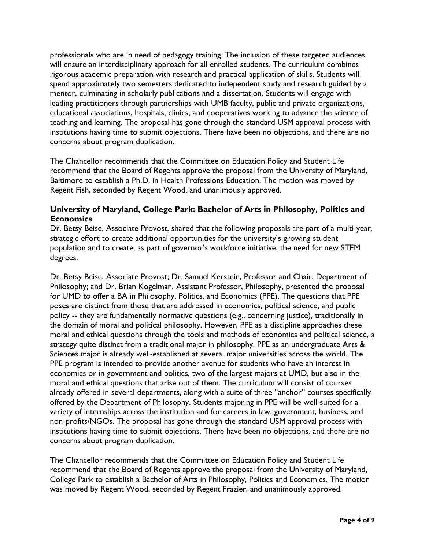professionals who are in need of pedagogy training. The inclusion of these targeted audiences will ensure an interdisciplinary approach for all enrolled students. The curriculum combines rigorous academic preparation with research and practical application of skills. Students will spend approximately two semesters dedicated to independent study and research guided by a mentor, culminating in scholarly publications and a dissertation. Students will engage with leading practitioners through partnerships with UMB faculty, public and private organizations, educational associations, hospitals, clinics, and cooperatives working to advance the science of teaching and learning. The proposal has gone through the standard USM approval process with institutions having time to submit objections. There have been no objections, and there are no concerns about program duplication.

The Chancellor recommends that the Committee on Education Policy and Student Life recommend that the Board of Regents approve the proposal from the University of Maryland, Baltimore to establish a Ph.D. in Health Professions Education. The motion was moved by Regent Fish, seconded by Regent Wood, and unanimously approved.

### **University of Maryland, College Park: Bachelor of Arts in Philosophy, Politics and Economics**

Dr. Betsy Beise, Associate Provost, shared that the following proposals are part of a multi-year, strategic effort to create additional opportunities for the university's growing student population and to create, as part of governor's workforce initiative, the need for new STEM degrees.

Dr. Betsy Beise, Associate Provost; Dr. Samuel Kerstein, Professor and Chair, Department of Philosophy; and Dr. Brian Kogelman, Assistant Professor, Philosophy, presented the proposal for UMD to offer a BA in Philosophy, Politics, and Economics (PPE). The questions that PPE poses are distinct from those that are addressed in economics, political science, and public policy -- they are fundamentally normative questions (e.g., concerning justice), traditionally in the domain of moral and political philosophy. However, PPE as a discipline approaches these moral and ethical questions through the tools and methods of economics and political science, a strategy quite distinct from a traditional major in philosophy. PPE as an undergraduate Arts & Sciences major is already well-established at several major universities across the world. The PPE program is intended to provide another avenue for students who have an interest in economics or in government and politics, two of the largest majors at UMD, but also in the moral and ethical questions that arise out of them. The curriculum will consist of courses already offered in several departments, along with a suite of three "anchor" courses specifically offered by the Department of Philosophy. Students majoring in PPE will be well-suited for a variety of internships across the institution and for careers in law, government, business, and non-profits/NGOs. The proposal has gone through the standard USM approval process with institutions having time to submit objections. There have been no objections, and there are no concerns about program duplication.

The Chancellor recommends that the Committee on Education Policy and Student Life recommend that the Board of Regents approve the proposal from the University of Maryland, College Park to establish a Bachelor of Arts in Philosophy, Politics and Economics. The motion was moved by Regent Wood, seconded by Regent Frazier, and unanimously approved.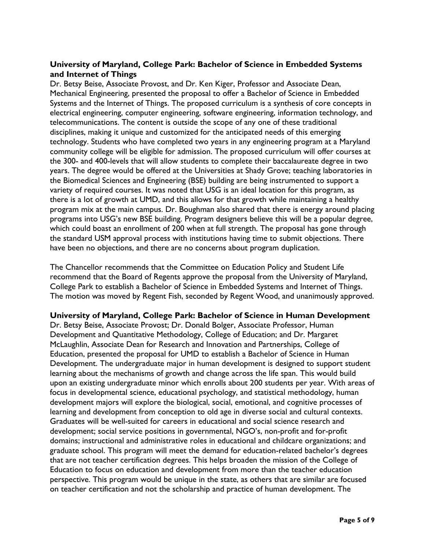## **University of Maryland, College Park: Bachelor of Science in Embedded Systems and Internet of Things**

Dr. Betsy Beise, Associate Provost, and Dr. Ken Kiger, Professor and Associate Dean, Mechanical Engineering, presented the proposal to offer a Bachelor of Science in Embedded Systems and the Internet of Things. The proposed curriculum is a synthesis of core concepts in electrical engineering, computer engineering, software engineering, information technology, and telecommunications. The content is outside the scope of any one of these traditional disciplines, making it unique and customized for the anticipated needs of this emerging technology. Students who have completed two years in any engineering program at a Maryland community college will be eligible for admission. The proposed curriculum will offer courses at the 300- and 400-levels that will allow students to complete their baccalaureate degree in two years. The degree would be offered at the Universities at Shady Grove; teaching laboratories in the Biomedical Sciences and Engineering (BSE) building are being instrumented to support a variety of required courses. It was noted that USG is an ideal location for this program, as there is a lot of growth at UMD, and this allows for that growth while maintaining a healthy program mix at the main campus. Dr. Boughman also shared that there is energy around placing programs into USG's new BSE building. Program designers believe this will be a popular degree, which could boast an enrollment of 200 when at full strength. The proposal has gone through the standard USM approval process with institutions having time to submit objections. There have been no objections, and there are no concerns about program duplication.

The Chancellor recommends that the Committee on Education Policy and Student Life recommend that the Board of Regents approve the proposal from the University of Maryland, College Park to establish a Bachelor of Science in Embedded Systems and Internet of Things. The motion was moved by Regent Fish, seconded by Regent Wood, and unanimously approved.

#### **University of Maryland, College Park: Bachelor of Science in Human Development**

Dr. Betsy Beise, Associate Provost; Dr. Donald Bolger, Associate Professor, Human Development and Quantitative Methodology, College of Education; and Dr. Margaret McLaughlin, Associate Dean for Research and Innovation and Partnerships, College of Education, presented the proposal for UMD to establish a Bachelor of Science in Human Development. The undergraduate major in human development is designed to support student learning about the mechanisms of growth and change across the life span. This would build upon an existing undergraduate minor which enrolls about 200 students per year. With areas of focus in developmental science, educational psychology, and statistical methodology, human development majors will explore the biological, social, emotional, and cognitive processes of learning and development from conception to old age in diverse social and cultural contexts. Graduates will be well-suited for careers in educational and social science research and development; social service positions in governmental, NGO's, non-profit and for-profit domains; instructional and administrative roles in educational and childcare organizations; and graduate school. This program will meet the demand for education-related bachelor's degrees that are not teacher certification degrees. This helps broaden the mission of the College of Education to focus on education and development from more than the teacher education perspective. This program would be unique in the state, as others that are similar are focused on teacher certification and not the scholarship and practice of human development. The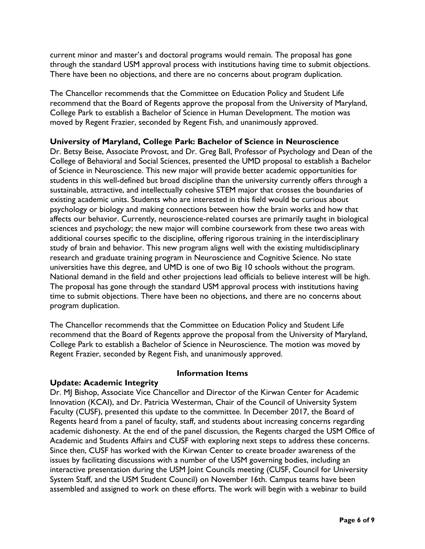current minor and master's and doctoral programs would remain. The proposal has gone through the standard USM approval process with institutions having time to submit objections. There have been no objections, and there are no concerns about program duplication.

The Chancellor recommends that the Committee on Education Policy and Student Life recommend that the Board of Regents approve the proposal from the University of Maryland, College Park to establish a Bachelor of Science in Human Development. The motion was moved by Regent Frazier, seconded by Regent Fish, and unanimously approved.

### **University of Maryland, College Park: Bachelor of Science in Neuroscience**

Dr. Betsy Beise, Associate Provost, and Dr. Greg Ball, Professor of Psychology and Dean of the College of Behavioral and Social Sciences, presented the UMD proposal to establish a Bachelor of Science in Neuroscience. This new major will provide better academic opportunities for students in this well-defined but broad discipline than the university currently offers through a sustainable, attractive, and intellectually cohesive STEM major that crosses the boundaries of existing academic units. Students who are interested in this field would be curious about psychology or biology and making connections between how the brain works and how that affects our behavior. Currently, neuroscience-related courses are primarily taught in biological sciences and psychology; the new major will combine coursework from these two areas with additional courses specific to the discipline, offering rigorous training in the interdisciplinary study of brain and behavior. This new program aligns well with the existing multidisciplinary research and graduate training program in Neuroscience and Cognitive Science. No state universities have this degree, and UMD is one of two Big 10 schools without the program. National demand in the field and other projections lead officials to believe interest will be high. The proposal has gone through the standard USM approval process with institutions having time to submit objections. There have been no objections, and there are no concerns about program duplication.

The Chancellor recommends that the Committee on Education Policy and Student Life recommend that the Board of Regents approve the proposal from the University of Maryland, College Park to establish a Bachelor of Science in Neuroscience. The motion was moved by Regent Frazier, seconded by Regent Fish, and unanimously approved.

## **Update: Academic Integrity**

#### **Information Items**

Dr. MJ Bishop, Associate Vice Chancellor and Director of the Kirwan Center for Academic Innovation (KCAI), and Dr. Patricia Westerman, Chair of the Council of University System Faculty (CUSF), presented this update to the committee. In December 2017, the Board of Regents heard from a panel of faculty, staff, and students about increasing concerns regarding academic dishonesty. At the end of the panel discussion, the Regents charged the USM Office of Academic and Students Affairs and CUSF with exploring next steps to address these concerns. Since then, CUSF has worked with the Kirwan Center to create broader awareness of the issues by facilitating discussions with a number of the USM governing bodies, including an interactive presentation during the USM Joint Councils meeting (CUSF, Council for University System Staff, and the USM Student Council) on November 16th. Campus teams have been assembled and assigned to work on these efforts. The work will begin with a webinar to build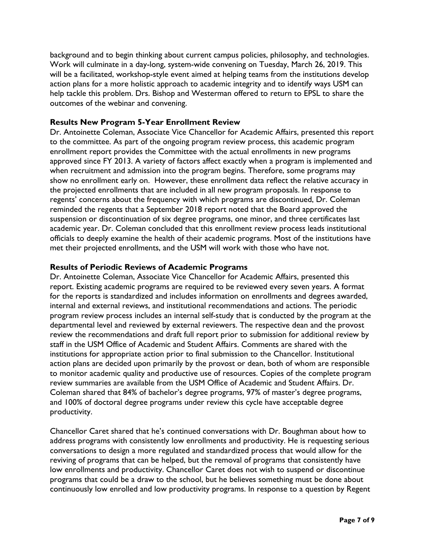background and to begin thinking about current campus policies, philosophy, and technologies. Work will culminate in a day-long, system-wide convening on Tuesday, March 26, 2019. This will be a facilitated, workshop-style event aimed at helping teams from the institutions develop action plans for a more holistic approach to academic integrity and to identify ways USM can help tackle this problem. Drs. Bishop and Westerman offered to return to EPSL to share the outcomes of the webinar and convening.

### **Results New Program 5-Year Enrollment Review**

Dr. Antoinette Coleman, Associate Vice Chancellor for Academic Affairs, presented this report to the committee. As part of the ongoing program review process, this academic program enrollment report provides the Committee with the actual enrollments in new programs approved since FY 2013. A variety of factors affect exactly when a program is implemented and when recruitment and admission into the program begins. Therefore, some programs may show no enrollment early on. However, these enrollment data reflect the relative accuracy in the projected enrollments that are included in all new program proposals. In response to regents' concerns about the frequency with which programs are discontinued, Dr. Coleman reminded the regents that a September 2018 report noted that the Board approved the suspension or discontinuation of six degree programs, one minor, and three certificates last academic year. Dr. Coleman concluded that this enrollment review process leads institutional officials to deeply examine the health of their academic programs. Most of the institutions have met their projected enrollments, and the USM will work with those who have not.

### **Results of Periodic Reviews of Academic Programs**

Dr. Antoinette Coleman, Associate Vice Chancellor for Academic Affairs, presented this report. Existing academic programs are required to be reviewed every seven years. A format for the reports is standardized and includes information on enrollments and degrees awarded, internal and external reviews, and institutional recommendations and actions. The periodic program review process includes an internal self-study that is conducted by the program at the departmental level and reviewed by external reviewers. The respective dean and the provost review the recommendations and draft full report prior to submission for additional review by staff in the USM Office of Academic and Student Affairs. Comments are shared with the institutions for appropriate action prior to final submission to the Chancellor. Institutional action plans are decided upon primarily by the provost or dean, both of whom are responsible to monitor academic quality and productive use of resources. Copies of the complete program review summaries are available from the USM Office of Academic and Student Affairs. Dr. Coleman shared that 84% of bachelor's degree programs, 97% of master's degree programs, and 100% of doctoral degree programs under review this cycle have acceptable degree productivity.

Chancellor Caret shared that he's continued conversations with Dr. Boughman about how to address programs with consistently low enrollments and productivity. He is requesting serious conversations to design a more regulated and standardized process that would allow for the reviving of programs that can be helped, but the removal of programs that consistently have low enrollments and productivity. Chancellor Caret does not wish to suspend or discontinue programs that could be a draw to the school, but he believes something must be done about continuously low enrolled and low productivity programs. In response to a question by Regent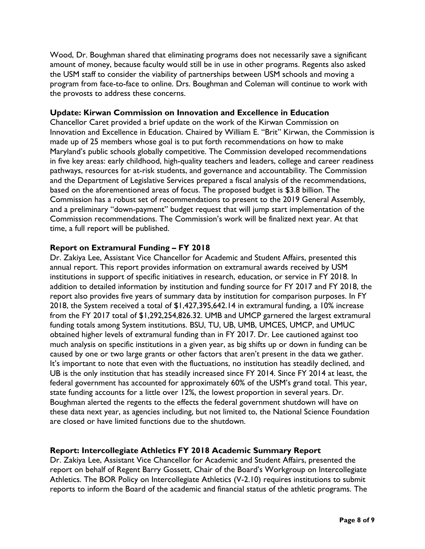Wood, Dr. Boughman shared that eliminating programs does not necessarily save a significant amount of money, because faculty would still be in use in other programs. Regents also asked the USM staff to consider the viability of partnerships between USM schools and moving a program from face-to-face to online. Drs. Boughman and Coleman will continue to work with the provosts to address these concerns.

### **Update: Kirwan Commission on Innovation and Excellence in Education**

Chancellor Caret provided a brief update on the work of the Kirwan Commission on Innovation and Excellence in Education. Chaired by William E. "Brit" Kirwan, the Commission is made up of 25 members whose goal is to put forth recommendations on how to make Maryland's public schools globally competitive. The Commission developed recommendations in five key areas: early childhood, high-quality teachers and leaders, college and career readiness pathways, resources for at-risk students, and governance and accountability. The Commission and the Department of Legislative Services prepared a fiscal analysis of the recommendations, based on the aforementioned areas of focus. The proposed budget is \$3.8 billion. The Commission has a robust set of recommendations to present to the 2019 General Assembly, and a preliminary "down-payment" budget request that will jump start implementation of the Commission recommendations. The Commission's work will be finalized next year. At that time, a full report will be published.

### **Report on Extramural Funding – FY 2018**

Dr. Zakiya Lee, Assistant Vice Chancellor for Academic and Student Affairs, presented this annual report. This report provides information on extramural awards received by USM institutions in support of specific initiatives in research, education, or service in FY 2018. In addition to detailed information by institution and funding source for FY 2017 and FY 2018, the report also provides five years of summary data by institution for comparison purposes. In FY 2018, the System received a total of \$1,427,395,642.14 in extramural funding, a 10% increase from the FY 2017 total of \$1,292,254,826.32. UMB and UMCP garnered the largest extramural funding totals among System institutions. BSU, TU, UB, UMB, UMCES, UMCP, and UMUC obtained higher levels of extramural funding than in FY 2017. Dr. Lee cautioned against too much analysis on specific institutions in a given year, as big shifts up or down in funding can be caused by one or two large grants or other factors that aren't present in the data we gather. It's important to note that even with the fluctuations, no institution has steadily declined, and UB is the only institution that has steadily increased since FY 2014. Since FY 2014 at least, the federal government has accounted for approximately 60% of the USM's grand total. This year, state funding accounts for a little over 12%, the lowest proportion in several years. Dr. Boughman alerted the regents to the effects the federal government shutdown will have on these data next year, as agencies including, but not limited to, the National Science Foundation are closed or have limited functions due to the shutdown.

#### **Report: Intercollegiate Athletics FY 2018 Academic Summary Report**

Dr. Zakiya Lee, Assistant Vice Chancellor for Academic and Student Affairs, presented the report on behalf of Regent Barry Gossett, Chair of the Board's Workgroup on Intercollegiate Athletics. The BOR Policy on Intercollegiate Athletics (V-2.10) requires institutions to submit reports to inform the Board of the academic and financial status of the athletic programs. The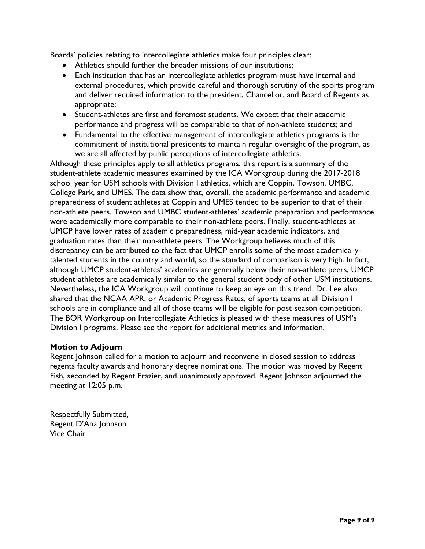Boards' policies relating to intercollegiate athletics make four principles clear:

- Athletics should further the broader missions of our institutions;
- Each institution that has an intercollegiate athletics program must have internal and external procedures, which provide careful and thorough scrutiny of the sports program and deliver required information to the president, Chancellor, and Board of Regents as appropriate;
- Student-athletes are first and foremost students. We expect that their academic performance and progress will be comparable to that of non-athlete students; and
- Fundamental to the effective management of intercollegiate athletics programs is the commitment of institutional presidents to maintain regular oversight of the program, as we are all affected by public perceptions of intercollegiate athletics.

Although these principles apply to all athletics programs, this report is a summary of the student-athlete academic measures examined by the ICA Workgroup during the 2017-2018 school year for USM schools with Division I athletics, which are Coppin, Towson, UMBC, College Park, and UMES. The data show that, overall, the academic performance and academic preparedness of student athletes at Coppin and UMES tended to be superior to that of their non-athlete peers. Towson and UMBC student-athletes' academic preparation and performance were academically more comparable to their non-athlete peers. Finally, student-athletes at UMCP have lower rates of academic preparedness, mid-year academic indicators, and graduation rates than their non-athlete peers. The Workgroup believes much of this discrepancy can be attributed to the fact that UMCP enrolls some of the most academicallytalented students in the country and world, so the standard of comparison is very high. In fact, although UMCP student-athletes' academics are generally below their non-athlete peers, UMCP student-athletes are academically similar to the general student body of other USM institutions. Nevertheless, the ICA Workgroup will continue to keep an eye on this trend. Dr. Lee also shared that the NCAA APR, or Academic Progress Rates, of sports teams at all Division I schools are in compliance and all of those teams will be eligible for post-season competition. The BOR Workgroup on Intercollegiate Athletics is pleased with these measures of USM's Division I programs. Please see the report for additional metrics and information.

#### **Motion to Adjourn**

Regent Johnson called for a motion to adjourn and reconvene in closed session to address regents faculty awards and honorary degree nominations. The motion was moved by Regent Fish, seconded by Regent Frazier, and unanimously approved. Regent Johnson adjourned the meeting at 12:05 p.m.

Respectfully Submitted, Regent D'Ana Johnson Vice Chair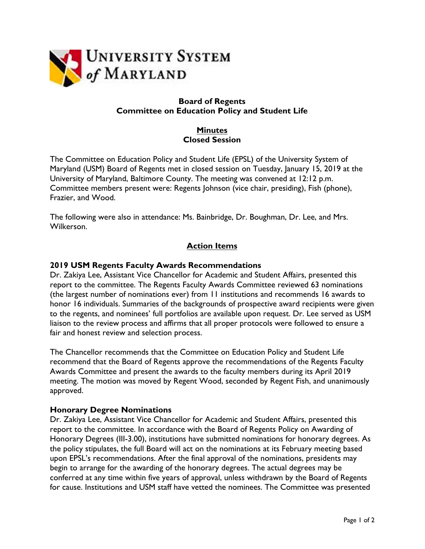

## **Board of Regents Committee on Education Policy and Student Life**

## **Minutes Closed Session**

The Committee on Education Policy and Student Life (EPSL) of the University System of Maryland (USM) Board of Regents met in closed session on Tuesday, January 15, 2019 at the University of Maryland, Baltimore County. The meeting was convened at 12:12 p.m. Committee members present were: Regents Johnson (vice chair, presiding), Fish (phone), Frazier, and Wood.

The following were also in attendance: Ms. Bainbridge, Dr. Boughman, Dr. Lee, and Mrs. Wilkerson.

## **Action Items**

### **2019 USM Regents Faculty Awards Recommendations**

Dr. Zakiya Lee, Assistant Vice Chancellor for Academic and Student Affairs, presented this report to the committee. The Regents Faculty Awards Committee reviewed 63 nominations (the largest number of nominations ever) from 11 institutions and recommends 16 awards to honor 16 individuals. Summaries of the backgrounds of prospective award recipients were given to the regents, and nominees' full portfolios are available upon request. Dr. Lee served as USM liaison to the review process and affirms that all proper protocols were followed to ensure a fair and honest review and selection process.

The Chancellor recommends that the Committee on Education Policy and Student Life recommend that the Board of Regents approve the recommendations of the Regents Faculty Awards Committee and present the awards to the faculty members during its April 2019 meeting. The motion was moved by Regent Wood, seconded by Regent Fish, and unanimously approved.

#### **Honorary Degree Nominations**

Dr. Zakiya Lee, Assistant Vice Chancellor for Academic and Student Affairs, presented this report to the committee. In accordance with the Board of Regents Policy on Awarding of Honorary Degrees (III-3.00), institutions have submitted nominations for honorary degrees. As the policy stipulates, the full Board will act on the nominations at its February meeting based upon EPSL's recommendations. After the final approval of the nominations, presidents may begin to arrange for the awarding of the honorary degrees. The actual degrees may be conferred at any time within five years of approval, unless withdrawn by the Board of Regents for cause. Institutions and USM staff have vetted the nominees. The Committee was presented